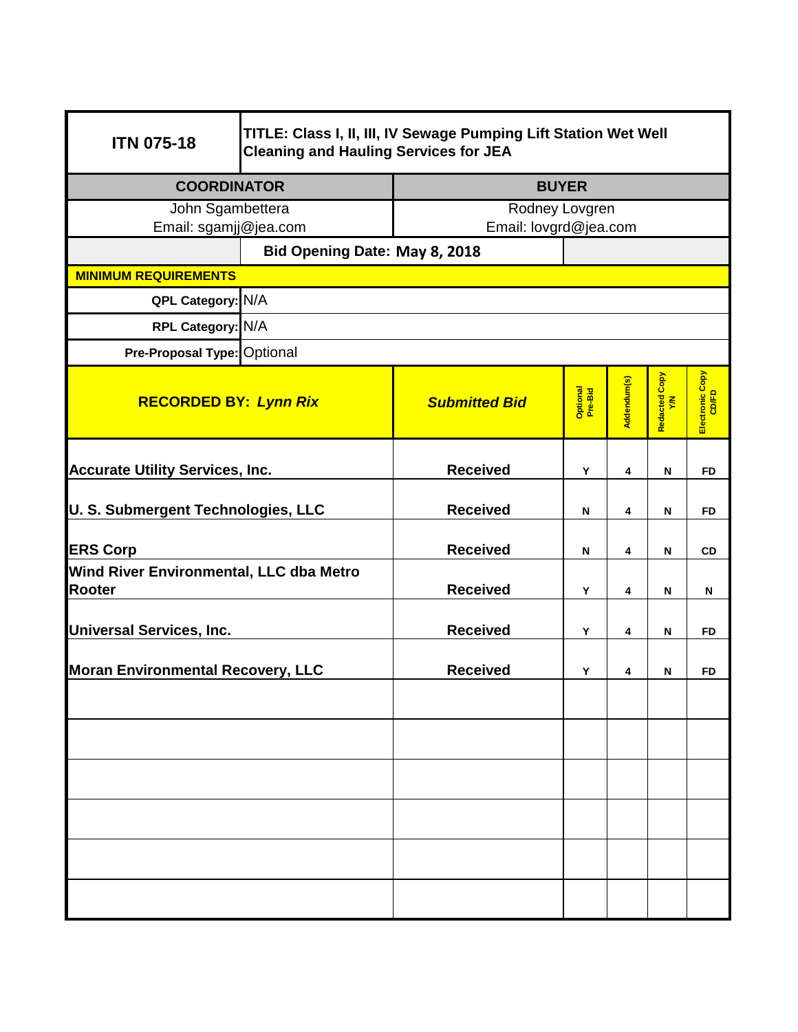| <b>ITN 075-18</b>                                 | TITLE: Class I, II, III, IV Sewage Pumping Lift Station Wet Well<br><b>Cleaning and Hauling Services for JEA</b> |                       |                     |             |                     |                          |  |  |  |  |
|---------------------------------------------------|------------------------------------------------------------------------------------------------------------------|-----------------------|---------------------|-------------|---------------------|--------------------------|--|--|--|--|
| <b>COORDINATOR</b>                                |                                                                                                                  | <b>BUYER</b>          |                     |             |                     |                          |  |  |  |  |
| John Sgambettera                                  |                                                                                                                  | Rodney Lovgren        |                     |             |                     |                          |  |  |  |  |
| Email: sgamjj@jea.com                             |                                                                                                                  | Email: lovgrd@jea.com |                     |             |                     |                          |  |  |  |  |
|                                                   | Bid Opening Date: May 8, 2018                                                                                    |                       |                     |             |                     |                          |  |  |  |  |
| <b>MINIMUM REQUIREMENTS</b>                       |                                                                                                                  |                       |                     |             |                     |                          |  |  |  |  |
| QPL Category: N/A                                 |                                                                                                                  |                       |                     |             |                     |                          |  |  |  |  |
| RPL Category: N/A                                 |                                                                                                                  |                       |                     |             |                     |                          |  |  |  |  |
| Pre-Proposal Type: Optional                       |                                                                                                                  |                       |                     |             |                     |                          |  |  |  |  |
| <b>RECORDED BY: Lynn Rix</b>                      |                                                                                                                  | <b>Submitted Bid</b>  | Optional<br>Pre-Bid | Addendum(s) | Redacted Copy<br>YM | Electronic Copy<br>CD/FD |  |  |  |  |
| <b>Accurate Utility Services, Inc.</b>            |                                                                                                                  | <b>Received</b>       | Υ                   | 4           | N                   | <b>FD</b>                |  |  |  |  |
| U. S. Submergent Technologies, LLC                |                                                                                                                  | <b>Received</b>       | N                   | 4           | N                   | <b>FD</b>                |  |  |  |  |
| <b>ERS Corp</b>                                   |                                                                                                                  | <b>Received</b>       | N                   | 4           | N                   | <b>CD</b>                |  |  |  |  |
| Wind River Environmental, LLC dba Metro<br>Rooter |                                                                                                                  | <b>Received</b>       | Y                   | 4           | N                   | N                        |  |  |  |  |
| <b>Universal Services, Inc.</b>                   |                                                                                                                  | <b>Received</b>       | Y                   | 4           | N                   | <b>FD</b>                |  |  |  |  |
| <b>Moran Environmental Recovery, LLC</b>          |                                                                                                                  | <b>Received</b>       | Υ                   | 4           | N                   | FD                       |  |  |  |  |
|                                                   |                                                                                                                  |                       |                     |             |                     |                          |  |  |  |  |
|                                                   |                                                                                                                  |                       |                     |             |                     |                          |  |  |  |  |
|                                                   |                                                                                                                  |                       |                     |             |                     |                          |  |  |  |  |
|                                                   |                                                                                                                  |                       |                     |             |                     |                          |  |  |  |  |
|                                                   |                                                                                                                  |                       |                     |             |                     |                          |  |  |  |  |
|                                                   |                                                                                                                  |                       |                     |             |                     |                          |  |  |  |  |